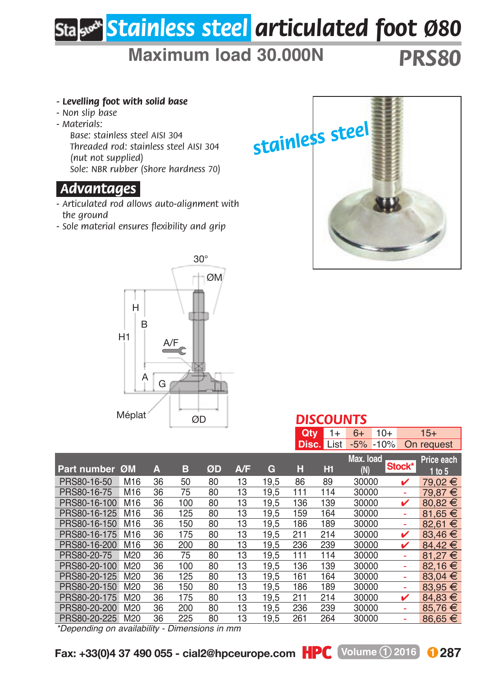## *Stainless steel articulated foot Ø80*

## **Maximum load 30.000N** *PRS80*

*Threaded rod: stainless steel AISI 304 Sole: NBR rubber (Shore hardness 70) - Articulated rod allows auto-alignment with - Sole material ensures flexibility and grip stainless steel*

*DISCOUNTS*



*- Levelling foot with solid base*

*Base: stainless steel AISI 304*

*(nut not supplied)*

*.Advantages.*

*the ground*

*- Non slip base - Materials:*

|              |                 |    |     |    |     |      | <b>Qty</b> | 1+<br><b>Disc.</b> List | $10+$<br>$6+$<br>$-5%$<br>$-10%$ |        | $15+$<br>On request |
|--------------|-----------------|----|-----|----|-----|------|------------|-------------------------|----------------------------------|--------|---------------------|
|              |                 |    |     |    |     |      |            |                         |                                  |        |                     |
|              |                 |    |     |    |     |      |            |                         | Max. load                        |        | Price each          |
| Part number  | ØM              | А  | в   | ØD | A/F | G    | H          | Hi                      | 'N                               | Stock* | 1 to 5              |
| PRS80-16-50  | M16             | 36 | 50  | 80 | 13  | 19.5 | 86         | 89                      | 30000                            | v      | 79.02 €             |
| PRS80-16-75  | M16             | 36 | 75  | 80 | 13  | 19.5 | 111        | 114                     | 30000                            | ٠      | 79.87 €             |
| PRS80-16-100 | M16             | 36 | 100 | 80 | 13  | 19.5 | 136        | 139                     | 30000                            | ✓      | 80.82 €             |
| PRS80-16-125 | M16             | 36 | 125 | 80 | 13  | 19.5 | 159        | 164                     | 30000                            | ٠      | 81.65 €             |
| PRS80-16-150 | M <sub>16</sub> | 36 | 150 | 80 | 13  | 19.5 | 186        | 189                     | 30000                            | ٠      | 82.61 €             |
| PRS80-16-175 | M16             | 36 | 175 | 80 | 13  | 19,5 | 211        | 214                     | 30000                            | ✓      | 83.46 €             |
| PRS80-16-200 | M <sub>16</sub> | 36 | 200 | 80 | 13  | 19,5 | 236        | 239                     | 30000                            | ✓      | 84.42€              |
| PRS80-20-75  | M20             | 36 | 75  | 80 | 13  | 19,5 | 111        | 114                     | 30000                            | ÷      | 81.27 €             |
| PRS80-20-100 | M20             | 36 | 100 | 80 | 13  | 19.5 | 136        | 139                     | 30000                            | ÷      | 82.16€              |
| PRS80-20-125 | M20             | 36 | 125 | 80 | 13  | 19,5 | 161        | 164                     | 30000                            | ٠      | 83.04 €             |
| PRS80-20-150 | M20             | 36 | 150 | 80 | 13  | 19,5 | 186        | 189                     | 30000                            | ٠      | 83,95 €             |
| PRS80-20-175 | M20             | 36 | 175 | 80 | 13  | 19.5 | 211        | 214                     | 30000                            | ✓      | $84.83 \in$         |
| PRS80-20-200 | M20             | 36 | 200 | 80 | 13  | 19,5 | 236        | 239                     | 30000                            | ٠      | 85.76 €             |
| PRS80-20-225 | M20             | 36 | 225 | 80 | 13  | 19.5 | 261        | 264                     | 30000                            |        | 86.65 €             |
|              |                 |    |     |    |     |      |            |                         |                                  |        |                     |

*\*Depending on availability - Dimensions in mm*